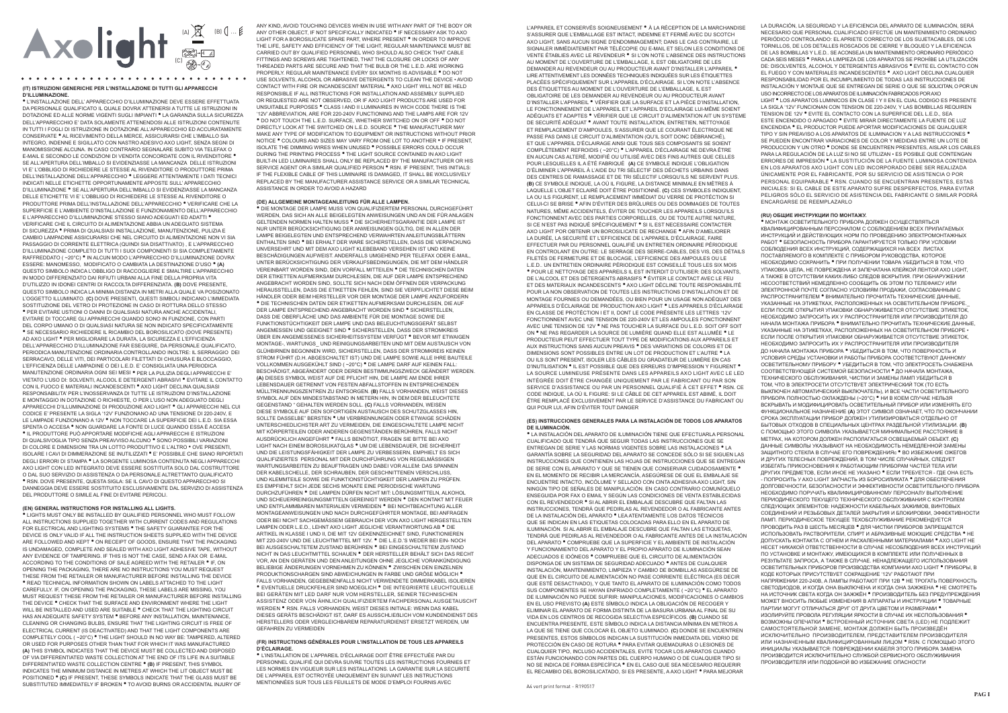# Axolight  $\sum_{\text{c}}^{\text{A}}$

#### (IT) ISTRUZIONI GENERICHE PER L'INSTALLAZIONE DI TUTTI GLI APPARECCHI **D'ILLUMINAZIONE**

• L'INSTALLAZIONE DELL'APPARECCHIO D'ILLUMINAZIONE DEVE ESSERE EFFETTUATA DA PERSONALE QUALIFICATO IL QUALE DOVRA' ATTENERSI A TUTTE LE ISTRUZIONI IN DOTAZIONE ED ALLE NORME VIGENTI SUGLI IMPIANTI <sup>®</sup> LA GARANZIA SULLA SICUREZZA DELL'APPARECCHIO E' DATA SOLAMENTE ATTENENDOSI ALLE ISTRUZIONI CONTENUTE IN TUTTLE OGLEDLISTRUZIONE IN DOTAZIONE ALL'APPARECCHIO ED ACCURATAMENTE CONSERVATE <sup>.</sup> AL RICEVIMENTO DELLA MERCE, ASSICURARSI CHE L'IMBALLO SIA INTEGRO, INDENNE E SIGILLATO CON NASTRO ADESIVO AXO LIGHT, SENZA SEGNI DI MANOMISSIONE ALCUNA. IN CASO CONTRARIO SEGNALARE SUBITO VIA TELEFAX O E-MAIL E SECONDO LE CONDIZIONI DI VENDITA CONCORDATE CON IL RIVENDITORE 1 SE ALL'APERTURA DELL'IMBALLO SI EVIDENZIASSE LA MANCANZA DELLE ISTRUZIONI VLE' L'OBBLIGO DI RICHIEDERE LE STESSE AL RIVENDITORE O PRODUTTORE PRIMA DELL'INSTALLAZIONE DELL'APPARECCHIO • LEGGERE ATTENTAMENTE I DATI TECNICI INDICATI NELLE ETICHETTE OPPORTUNAMENTE APPOSTE SULL'APPARECCHIO D'ILLUMINAZIONE <sup>·</sup> SE ALL'APERTURA DELL'IMBALLO SI EVIDENZIASSE LA MANCANZA DELLE ETICHETTE VI E' L'OBBLIGO DI RICHIEDERE LE STESSE AL RIVENDITORE O PRODUTTORE PRIMA DELL'INSTALLAZIONE DELL'APPARECCHIO • VERIFICARE CHE LA SUPERFICIE E L'AMBIENTE D'INSTALLAZIONE E FUNZIONAMENTO DELL'APPARECCHIO E L'APPARECCHIO D'ILLUMINAZIONE STESSO SIANO ADEGUATI ED ADATTI <sup>.</sup> VERIFICARE CHE IL CIRCUITO DI ALIMENTAZIONE ABBIA UN ADEGUATO SISTEMA DI SICUREZZA <sup>·</sup> PRIMA DI QUALSIASI INSTALLAZIONE, MANUTENZIONE, PULIZIA E CAMBIO LAMPADINE ASSICURARSI CHE NEL CIRCUITO DI ALIMENTAZIONE NON VI SIA PASSAGGIO DI CORRENTE ELETTRICA (QUINDI SIA DISATTIVATO), E L'APPARECCHIO D'ILLUMINAZIONE COMPLETO DI TUTTI I SUOI COMPONENTI SI SIA COMPLETAMENTE RAFEREDDATO (~20°C) • IN ALCUN MODO L'APPARECCHIO D'ILLUMINAZIONE DOVRA ESSERE: MANOMESSO. MODIFICATO O CAMBIATA LA DESTINAZIONE D'USO <sup>.</sup> (A) QUESTO SIMBOLO INDICA L'OBBLIGO DI RACCOGLIERE E SMALTIRE L'APPARECCHIO IN MODO DIFFERENZIATO DAI RIFILITI LIRBANI ALLA FINE DELLA PROPRIA VITA D'UTILIZZO IN IDONEI CENTRI DI RACCOLTA DIFFERENZIATA. (B) DOVE PRESENTE. QUESTO SIMBOLO INDICA LA MINIMA DISTANZA IN METRI ALLA QUALE VA POSIZIONATO L'OGGETTO ILLUMINATO (C) DOVE PRESENTI OLIESTI SIMBOLI INDICANO L'IMMEDIATA SOSTITUZIONE DEL VETRO DI PROTEZIONE IN CASO DI ROTTURA DELLO STESSO \* PER EVITARE USTIONI O DANNI DI QUALSIASI NATURA ANCHE ACCIDENTALI. EVITARE DI TOCCARE GLI APPARECCHI QUANDO SONO IN FUNZIONE, CON PARTI DEL CORPO UMANO O DI QUALSIASI NATURA SE NON INDICATO SPECIFICATAMENTE \* SE NECESSARIO RICHIEDERE IL RICAMBIO DEL BOROSILICATO (DOVE PRESENTE) AD AXO LIGHT \* PER MIGLIORARE LA DURATA LA SICUREZZA E L'EFFICIENZA DELL'APPARECCHIO D'ILLUMINAZIONE FAR ESEGUIRE DA PERSONALE QUALIFICATO PERIODICA MANUTENZIONE ORDINARIA CONTROLLANDO INOLTRE: IL SERRAGGIO, DEL SERRACAVO, DELLE VITI, DEI PARTICOLARI FILETTATI DI CHIUSURA E BLOCCAGGIO, L'EFFICIENZA DELLE LAMPADINE O DEI L.E.D. E' CONSIGLIATA UNA PERIODICA MANUTENZIONE ORDINARIA OGNI SEI MESI · PER LA PULIZIA DEGLI APPARECCHI E' VIETATO L'USO DI: SOLVENTI, ALCOOL E DETERGENTI ABRASIVI · EVITARE IL CONTATTO CON IL FUOCO E MATERIALI INCANDESCENTI <sup>®</sup> AXO LIGHT DECLINA QUALSIASI RESPONSABILITA' PER L'INOSSERVANZA DI TUTTE LE ISTRUZIONI D'INSTALI AZIONE E MONTAGGIO IN DOTAZIONE O RICHIESTE O PER L'USO NON ADEGUATO DEGLI APPARECCHI D'ILLUMINAZIONE DI PRODUZIONE AXO LIGHT <sup>·</sup> GLI APPARECCHI NEL CUI CODICE E' PRESENTE LA SIGLA '12V' FUNZIONANO AD UNA TENSIONE DI 220-240V, E LE LAMPADE FUNZIONANO A 12V \* NON TOCCARE LA SUPERFICIE DEI L.E.D. SIA ESSA SPENTA O ACCESA <sup>.</sup> NON GUARDARE LA FONTE DI LUCE QUANDO ESSA È ACCESA . IL PRODUITORE PUÒ APPORTARE MODIFICHE AGLI APPARECCHI E ISTRUZIONI DI QUALSIVOGLIA TIPO SENZA PREAVVISO ALCUNO <sup>.</sup> SONO POSSIBILI VARIAZIONI DI COLORE E DIMENSIONI TRA UN LOTTO PRODUTTIVO E L'ALTRO • OVE PRESENTI, ISOLARE I CAVI DI DIMMERAZIONE SE INUTILIZZATI <sup>.</sup> E' POSSIBILE CHE SIANO RIPORTATI DEGLI ERRORI DI STAMPA <sup>.</sup> LA SORGENTE LUMINOSA CONTENUTA NEGLI APPARECCHI AXO LIGHT CON LED INTEGRATO DEVE ESSERE SOSTITUITA SOLO DAL COSTRUTTORE O DAL SUO SERVIZIO DI ASSISTENZA O DA PERSONALE ALTRETTANTO QUALIFICATO \* RSN, DOVE PRESENTE, OUESTA SIGLA: SE IL CAVO DI QUESTO APPARECCHIO SI DANNEGGIA DEVE ESSERE SOSTITUITO ESCLUSIVAMENTE DAL SERVIZIO DI ASSISTENZA DEL PRODUTTORE O SIMILE AL FINE DI EVITARE PERICOLI.

#### (EN) GENERAL INSTRUCTIONS FOR INSTALLING ALL LIGHTS.

. LIGHTS MUST ONLY BE INSTALLED BY QUALIFIED PERSONNEL WHO MUST FOLLOW ALL INSTRUCTIONS SUPPLIED TOGETHER WITH CURRENT CODES AND REGULATIONS FOR ELECTRICAL AND LIGHTING SYSTEMS . THE SAFETY GUARANTEE FOR THE DEVICE IS ONLY VALID JE ALL THE INSTRUCTION SHEETS SUPPLIED WITH THE DEVICE ARE FOLLOWED AND KEPT <sup>.</sup> ON RECEIPT OF GOODS. ENSURE THAT THE PACKAGING IS UNDAMAGED, COMPLETE AND SEALED WITH AXO LIGHT ADHESIVE TAPE, WITHOUT ANY EVIDENCE OF TAMPERING. IF THIS IS NOT THE CASE, SEND A FAX OR E-MAIL ACCORDING TO THE CONDITIONS OF SALE AGREED WITH THE RETAILER . IF, ON OPENING THE PACKAGING. THERE ARE NO INSTRUCTIONS YOU MUST REQUEST THESE FROM THE RETAILER OR MANUFACTURER REFORE INSTALLING THE DEVICE \* READ TECHNICAL INFORMATION SHOWN ON LABELS ATTACHED TO THE LIGHT CAREFULLY. IF, ON OPENING THE PACKAGING, THESE LABELS ARE MISSING, YOU MUST REQUEST THESE FROM THE RETAILER OR MANUFACTURER BEFORE INSTALLING THE DEVICE . CHECK THAT THE SURFACE AND ENVIRONMENT WHERE THE LIGHT WILL BE INSTALLED AND LISED ARE SUITABLE . CHECK THAT THE LIGHTING CIRCUIT HAS AN ADEQUATE SAFETY SYSTEM . BEFORE ANY INSTALLATION, MAINTENANCE CLEANING OR CHANGING BULBS. ENSURE THAT THE LIGHTING CIRCUIT IS ERFE OF ELECTRICAL CURRENT (IS DEACTIVATED) AND THAT THE LIGHT COMPONENTS ARE COMPLETELY COOL (~20°C) \* THE LIGHT SHOULD IN NO WAY BE: TAMPERED, ALTERED OR USED FOR PURPOSES OTHER THAN THAT FOR WHICH IT WAS MANUFACTURED (A) THIS SYMBOL INDICATES THAT THE DEVICE MUST BE COLLECTED AND DISPOSED OF VIA DIFFERENTIATED WASTE COLLECTION AT THE END OF ITS LIFE IN A SUITABLE DIFFERENTIATED WASTE COLLECTION CENTRE . (B) IF PRESENT. THIS SYMBOL INDICATES THE MINIMUM DISTANCE IN METRES AT WHICH THE LIT OBJECT MUST BE POSITIONED <sup>.</sup> (C) IF PRESENT, THESE SYMBOLS INDICATE THAT THE GLASS MUST BE SUBSTITUTED IMMEDIATELY IF BROKEN . TO AVOID BURNS OR ACCIDENTAL INJURY OF

ANY KIND, AVOID TOUCHING DEVICES WHEN IN USE WITH ANY PART OF THE BODY OR ANY OTHER OR IECT IF NOT SPECIFICALLY INDICATED . IF NECESSARY ASK TO AXO LIGHT FOR A ROROSILICATE SPARE PART WHERE PRESENT . IN ORDER TO IMPROVE THE LIFE SAFETY AND FFFICIENCY OF THE LIGHT REGULAR MAINTENANCE MUST BE CARRIED OUT BY QUALIFIED PERSONNEL WHO SHOULD ALSO CHECK THAT CABLE FITTINGS AND SCREWS ARE TIGHTENED. THAT THE CLOSURE OR LOCKS OF ANY THREADED PARTS ARE SECURE AND THAT THE BULB OR THE L.E.D. ARE WORKING PROPERLY REGULAR MAINTENANCE EVERY SIX MONTHS IS ADVISABLE . DO NOT USE SOLVENTS. ALCOHOL OR ABRASIVE DETERGENTS TO CLEAN THE DEVICE . AVOID CONTACT WITH FIRE OR INCANDESCENT MATERIAL . AXO LIGHT WILL NOT BE HELD RESPONSIBLE IF ALL INSTRUCTIONS FOR INSTALLATION AND ASSEMBLY SUPPLIED OR REQUESTED ARE NOT OBSERVED, OR IF AXO LIGHT PRODUCTS ARE USED FOR UNSUITABLE PURPOSES . CLASS I AND II LUMINAIRES IN WICH CODE THERE IS THE '12V' ABBREVIATION, ARE FOR 220-240V FUNCTIONING AND THE LAMPS ARE FOR 12V \* DO NOT TOUCH THE L.E.D. SURFACE. WHETHER SWITCHED ON OR OFF \* DO NOT DIRECTLY LOOK AT THE SWITCHED ON L.E.D. SOURCE . THE MANUFACTURER MAY MAKE ANY TYPE OF MODIFICATION TO FOUR MENT OR INSTRUCTIONS WITHOUT PRIOR NOTICE . COLOURS AND SIZES MAY VARY FROM ONE LOT TO ANOTHER . IF PRESENT, ISOLATE THE DIMMING WIRES WHEN UNUSED \* POSSIBLE ERRORS COULD OCCUR DURING THE PRINTING PROCESS . THE LIGHT SOURCE CONTAINED IN AXO LIGHT BUILT-IN LED LUMINAIRES SHALL ONLY BE REPLACED BY THE MANUFACTURER OR HIS SERVICE AGENT OR A SIMILAR QUALIFIED PERSON . RSN. IF PRESENT THIS INITIALS IF THE FIFYIRI E CARLE OF THIS LUMINAIRE IS DAMAGED IT SHALL BE WYCLISIVELY REPLACED BY THE MANUFACTURER ASSISTANCE SERVICE OR A SIMILAR TECHNICAL ASSISTANCE IN ORDER TO AVOID A HAZARD

#### (DE) ALLGEMEINE MONTAGEANLEITUNG FÜR ALLE LAMPEN.

· DIE MONTAGE DER LAMPE MUSS VON QUALIFIZIERTEM PERSONAL DURCHGEFÜHRT WERDEN, DAS SICH AN ALLE BEIGELEGTEN ANWEISLINGEN LIND AN DIE FÜR ANLAGEN GEI TENDEN NORMEN HAI TEN MUSS <sup>®</sup> DIE SICHERHEITSGARANTIE DER LAMPE IST NUR UNTER BERÜCKSICHTIGUNG DER ANWEISUNGEN GÜLTIG. DIE IN ALLEN DER LAMPE BEIGELEGTEN UND ENTSPRECHEND VERWAHRTEN ANLEITUNGSBLÄTTERN ENTHALTEN SIND \* BEI ERHALT DER WARE SICHERSTELLEN, DASS DIE VERPACKUNG UNVERSEHRT UND MIT DEM AXO LIGHT KLEBEBAND VERSEHEN IST UND KEINE BESCHÄDIGUNGEN AUFWEIST ANDERFALLS UMGEHEND PER TELFFAX ODER F-MAIL LINTER BERÜCKSICHTIGLING DER VERKALIESBEDINGLINGEN. DIE MIT DEM HÄNDLER VEREINBART WORDEN SIND, DEN VORFALL MITTEILEN ● DIE TECHNISCHEN DATEN DER ETIKETTEN AUFMERKSAM DURCHLESEN. DIE AUF DER LAMPE ENTSPRECHEND ANGEBRACHT WORDEN SIND, SOLLTE SICH NACH DEM ÖFFNEN DER VERPACKUNG HERAUSSTELLEN. DASS DIE ETIKETTEN FEHLEN. SIND SIE VERPFLICHTET DIESE BEIM HÄNDI ER ODER BEIM HERSTEI I ER VOR DER MONTAGE DER I AMPE ANZUFORDERN \* DIE TECHNISCHEN DATEN DER ETIKETTEN AUFMERKSAM DURCHLESEN. DIE AUF DER LAMPE ENTSPRECHEND ANGERRACHT WORDEN SIND • SICHERSTELLEN DASS DIE OBERELÄCHE UND DAS AMBIENTE FÜR DIE MONTAGE SOWIE DIE FUNKTIONSTÜCHTIGKEIT DER LAMPE UND DAS BELEUCHTUNGSGERÄT SELBST ANGEMESSEN UND GEEIGNET SIND · SICHERSTELLEN, DASS DER STROMKREIS ÜBER EIN ANGEMESSENES SICHERHEITSSYSTEM VERFÜGT <sup>●</sup> BEVOR MIT ETWAIGEN MONTAGE-, WARTUNGS UND REINIGUNGSARBEITEN UND MIT DEM AUSTAUSCH VON GLÜHBIRNEN BEGONNEN WIRD, SICHERSTELLEN, DASS DER STROMKREIS KEINEN STROM FÜHRT (D.H. ABGESCHALTET IST) UND DIE LAMPE SOWIE ALLE IHRE BAUTEILE VOLLKOMMEN AUSGEKÜHLT SIND (~20°C) <sup>●</sup> DIE LAMPE DARF AUF KEINEN FALL: BESCHÄDIGT, ABGEÄNDERT ODER DEREN BESTIMMUNGSZWECK GEÄNDERT WERDEN (A) DIESES SYMBOL WEIST AUF DIE PFLICHT HIN, DIE LAMPE AM ENDE IHRER LEBENSDAUER GETRENNT VON FESTEN ABFALLSTOFFEN IN ENTSPRECHENDEN MÜLLTRENNUNGSZENTREN ZU ENTSORGEN. (B) FALLS VORHANDEN, WEIST DIESES SYMBOL AUF DEN MINDESTABSTAND IN METERN HIN. IN DEM DER BELEUCHTETE GEGENSTAND " GEHALTEN WERDEN SOLL. (C) FALLS VORHANDEN. WEISEN DIESE SYMBOLE AUF DEN SOFORTIGEN AUSTAUSCH DES SCHUTZGLASSES HIN SOLLTE DASSELBE" BERSTEN \* UM VERBRENNUNGEN ODER ETWAIGE SCHÄDEN UNTERSCHIEDLICHSTER ART ZU VERMEIDEN, DIE EINGESCHALTETE LAMPE NICHT MIT KÖRPERTEILEN ODER ANDEREN GEGENSTÄNDEN BERÜHREN, FALLS NICHT AUSDRÜCKLICH ANGEFÜHRT • FALLS BENÖTIGT, FRAGEN SIE BITTE BEI AXO LIGHT NACH FINEM ROROSILIKATGLAS . IIM DIE LEBENSDALIER DIE SICHERHEIT LIND DIE LEISTLINGSFÄHIGKEIT DER LAMPE ZIJ VERBESSERN. EMPHIELT ES SICH QUALIFIZIERTES PERSONAL MIT DER DURCHFÜHRUNG VON REGELMÄSSIGEN WARTUNGSARBEITEN ZU BEAUFTRAGEN UND DABEI VOR ALLEM: DAS SPANNEN DER KABELSCHELLE, DER SCHRAUBEN, DER GESCHNITTENEN VERSCHLUSS, UND KLEMMTEILE SOWIE DIE FUNKTIONSTÜCHTIGKEIT DER LAMPEN ZU PRÜFEN ES EMPEIEHLT SICH JEDE SECHS MONATE FINE PERIODISCHE WARTLING DURCHZUFÜHREN ● DIE LAMPEN DÜRFEN NICHT MIT LÖSUNGSMITTELN ALKOHOL UND SCHEUFRREINIGUNGSMITTELN GEREINIGT WERDEN • DEN KONTAKT MIT FEUER UND ENTFLAMMBAREN MATERIALIEN VERMEIDEN • BEI NICHTBEACHTUNG ALLER MONTAGEANWEISUNGEN UND NACH DURCHGEFÜHRTER MONTAGE. BEI ANFRAGEN ODER BEI NICHT SACHGEMÄSSEM GEBRAUCH DER VON AXO LIGHT HERGESTELLTEN LAMPEN ODER LED LEHNT AXO LIGHT JEGLICHE VERANTWORTLING AB <sup>.</sup> DIE ARTIKEL IN KLASSE I UND II. DIE MIT 12V GEKENNZEICHNET SIND. FUNKTIONIEREN MIT 220-240V UND DIE LEUCHTMITTEL MIT 12V · DIE LE D 'S WEDER BELEIN- NOCH BEI AUSGESCHALTETEM ZUSTAND BERÜHREN • BEI EINGESCHALTETEM ZUSTAND NICHT IN DAS LEUCHTMITTEL SCHAUEN . DER HERSTELLER BEHÄLT SICH DAS RECHT VOR, AN DEN GERÄTEN UND DEN ANLEITUNGEN OHNE JEGLICHE VORANKÜNDIGUNG BELIEBIGE ÄNDERUNGEN VORNEHMEN ZU KÖNNEN \* ZWISCHEN DEN EINZELNEN PRODUKTIONSCHARGEN SIND ABWEICHUNGEN IN FARBE UND GRÖßE MÖGLICH · FALLS VORHANDEN, GEGEBENENFALLS NICHT VERWENDETE DIMMERKABEL ISOLIEREN<br>• EVENTUELLE DRUCKFEHLER SIND MOEGLICH • DIE INTEGRIERTE LEUCHTQUELLE BEI GERÄTEN MIT LED DARF NUR VOM HERSTELLER, SEINER TECHNISCHEN ASSISTENZ ODER VON ÄHNLICH QUALIFIZIERTEM FACHPERSONAL AUSGETAUSCHT WERDEN \* RSN, FALLS VORHANDEN, WEIST DIESES INITIALE: WENN DAS KABEL DIESES GERÄTS BESCHÄDIGT IST. DARF ES AUSSCHLIEBLICH VOM KUNDENDIENST DES HERSTELLERS ODER VERGLEICHBAREM REPARATURDIENST ERSETZT WERDEN, UM **GEEAHREN ZU VERMEIDEN** 

#### (FR) INSTRUCTIONS GÉNÉRALES POUR L'INSTALLATION DE TOUS LES APPAREILS D'ÉCI AIRAGE

• L'INSTALLATION DE L'APPAREIL D'ÉCLAIRAGE DOIT ÊTRE EFFECTUÉE PAR DU PERSONNEL QUALIFIÉ QUI DEVRA SUIVRE TOUTES LES INSTRUCTIONS FOURNIES ET LES NORMES EN VIGUEUR SUR LES INSTALLATIONS LA GARANTIE SUR LA SECURITÉ DE L'APPAREIL EST OCTROVÉE LINIOLIEMENT EN SLIIVANT LES INSTRUCTIONS MENTIONNÉES SUR TOUS LES FEUILLETS DE MODE D'EMPLOI FOURNIS AVEC

L'APPAREIL ET CONSERVÉS SOIGNEUSEMENT <sup>·</sup> À LA RÉCEPTION DE LA MARCHANDISE S'ASSURER QUE L'EMBALLAGE EST INTACT. INDEMNE ET FERMÉ AVEC DU SCOTCH AXO LIGHT SANS ALICUN SIGNE D'ENDOMMAGEMENT DANS LE CAS CONTRAIRE LE SIGNALER IMMÉDIATEMENT PAR TÉLÉCOPIE OU F-MAIL ET SELON LES CONDITIONS DE VENTE ÉTABLIES AVEC LE REVENDEUR · SI L'ON NOTE L'ABSENCE DES INSTRUCTIONS AU MOMENT DE L'OUVERTURE DE L'EMBALLAGE, IL EST OBLIGATOIRE DE LES DEMANDER AU REVENDEUR OU AU PRODUCTEUR AVANT D'INSTALLER L'APPAREIL <sup>.</sup> LIRE ATTENTIVEMENT LES DONNÉES TECHNIQUES INDIQUÉES SUR LES ÉTIQUETTES PLACÉES SPÉCIFIQUEMENT SUR L'APPAREIL D'ÉCLAIRAGE, SI L'ON NOTE L'ARSENCE DES ÉTIQUETTES AU MOMENT DE L'OUVERTURE DE L'EMBALLAGE. IL EST OBLIGATOIRE DE LES DEMANDER AU REVENDEUR OU AU PRODUCTEUR AVANT D'INSTALLER L'APPAREIL \* VÉRIFIER QUE LA SURFACE ET LA PIÈCE D'INSTALLATION, LE FONCTIONNEMENT DE L'APPAREIL ET L'APPAREIL D'ECLAIRAGE LUI-MÊME SOIENT ADÉQUATS ET ADAPTES <sup>.</sup> VÉRIFIER QUE LE CIRCUIT D'ALIMENTATION AIT UN SYSTEME DE SECURITÉ ADÉQUAT <sup>·</sup> AVANT TOUTE INSTALLATION. ENTRETIEN. NETTOYAGE ET REMPLACEMENT D'AMPOULES, S'ASSURER QUE LE COURANT ÉLECTRIQUE NE PASSE PAS DANS LE CIRCUIT D'ALIMENTATION (OU'IL SOIT DONC DÉBRANCHÉ). ET QUE L'APPAREIL D'ÉCLAIRAGE AINSI QUE TOUS SES COMPOSANTS SE SOIENT COMPLÈTEMENT REFROIDIS (~20°C) \* L'APPAREIL D'ÉCLAIRAGE NE DEVRA ÊTRE EN AUCUN CAS ALTERÉ. MODIFIÉ OU UTILISÉ AVEC DES FINS AUTRES QUE CELLES POUR LESQUELLES IL A ÉTÉ FABRIQUÉ (A) CE SYMBOLE INDIQUE L'OBLIGATION D'ÉLIMINER L'APPAREIL À L'AIDE DU TRI SÉLECTIF DES DÉCHETS URBAINS DANS DES CENTRES DE RAMASSAGE ET DE TRI SÉLECTIE LORSOLI'ILS NE SERVENT PLUS (B) CE SYMBOLE INDIQUE LA OÙ IL FIGURE LA DISTANCE MINIMALE EN MÈTRES À LAQUELLE L'OBJET ECLAIRÉ DOIT ÊTRE POSITIONNÉ. (C) CES SYMBOLES INDIQUENT. LA OU ILS FIGURENT. LE REMPLACEMENT IMMÉDIAT DU VERRE DE PROTÉCTION SI CELUI-CI SE BRISE <sup>·</sup> AFIN D'ÉVITER DES BRÛLURES OU DES DOMMAGES DE TOUTES NATURES, MÊME ACCIDENTELS, ÉVITER DE TOUCHER LES APPAREILS LORSQU'ILS FONCTIONNENT AVEC DES PARTIES CORPORELLES. OU DE TOUTE AUTRE NATURE SLCE N'EST PAS INDIQUÉ SPÉCIFIQUEMENT <sup>®</sup> SUL EST NECESSAIRE CONTACTER AXO LIGHT POR OBTENIR UN BOROSILICATE DE RECHANGE . AFIN D'AMELIORER LA DURÉE. LA SECURITÉ ET L'EFFICIENCE DE L'APPAREIL D'ÉCLAIRAGE. FAIRE EFFECTUER PAR DU PERSONNEL QUALIFIÉ UN ENTRETIEN ORDINAIRE PÉRIODIQUE EN CONTROLANT EN OUTRE: LE SERRAGE DES SERRE-CABLES, DES VIS, DES DÉTAILS EILETÉS DE FERMETURE ET DE BLOCAGE L'EFFICIENCE DES AMPOULES QUI LE L.E.D., UN ENTRETIEN ORDINAIRE PÉRIODIQUE EST CONSEILLÉ TOUS LES SIX MOIS \* POUR LE NETTOYAGE DES APPAREILS IL EST INTERDIT D'UTILISER: DES SOLVANTS DE L'ALCOOL ET DES DÉTERGENTS ABRASIFS <sup>·</sup> ÉVITER LE CONTACT AVEC LE FEU ET DES MATERIAUX INCANDESCENTS <sup>·</sup> AXO LIGHT DÉCLINE TOUTE RESPONSABILITÉ POUR LA NON OBSERVATION DE TOUTES LES INSTRUCTIONS D'INSTALLATION ET DE MONTAGE FOURNIES OU DEMANDÉES, OU BIEN POUR UN USAGE NON ADÉQUAT DES APPAREILS D'ÉCLAIRAGE DE PRODUCTION AXO LIGHT <sup>.</sup> LES APPAREILS D'ÉCLAIRAGE EN CLASSE DE PROTÉCTION LET IL DONT LE CODE PRÉSENTE LES LETTRES '12V' FONCTIONNENT AVEC UNE TENSION DE 220-240V ET LES AMPOULES FONCTIONNENT AVEC UNE TENSION DE 12V <sup>\*</sup> NE PAS TOUCHER LA SURFACE DU L.E.D. SOIT OFF SOIT ON \* NE PAS REGARDER LA SOURCE DE LUMIÈRE QUAND ELLE EST ALLUMÉE \* LE PRODUCTEUR PEUT EFFECTUER TOUT TYPE DE MODIFICATIONS AUX APPAREILS ET AUX INSTRUCTIONS SANS AUCUN PREAVIS <sup>.</sup> DES VARIATIONS DE COLORIS ET DE DIMENSIONS SONT POSSIBLES ENTRE UN LOT DE PRODUCTION ET L'AUTRE <sup>.</sup> LA OLLILS SONT PRESENT ISOLER LES CÂRLES DI LORADATELIR DE LLIMIÈRE EN CAS D'INUTILISATION <sup>·</sup> IL EST POSSIBLE QUE DES ERREURS D'IMPRESSION Y FIGURENT LA SOURCE LUMINEUSE PRÉSENTE DANS LES APPAREILS AXO LIGHT AVEC LE LED INTÉGRÉE DOIT ÊTRE CHANGÉE UNIQUEMENT PAR LE FABRICANT OU PAR SON SERVICE D'ASSISTANCE OU PAR UN PERSONNEL QUALIFIÉ À CET EFFET <sup>\*</sup> RSN. CE CODE INDIQUE, LA OÙ IL FIGURE: SI LE CÂBLE DE CET APPAREIL EST ABIMÉ, IL DOIT ÊTRE REMPLACÉ EXCLUSIVEMENT PAR LE SERVICE D'ASSISTANCE DU FABRICANT OU QUI POUR LUI, AFIN D'ÉVITER TOUT DANGER

#### (ES) INSTRUCCIONES GENERALES PARA LA INSTALACIÓN DE TODOS LOS APARATOS DE ILUMINACIÓN.

\* LA INSTALACIÓN DEL APARATO DE ILUMINACIÓN TIENE QUE EFECTUARLA PERSONAL CUALIFICADO QUE TENDRÁ QUE SEGUIR TODAS LAS INSTRUCCIONES QUE SE **ENTREGAN DE SERIE Y LAS NORMAS VIGENTES SORRE LAS INSTALACIONES . LA** GARANTÍA SOBRE LA SEGURIDAD DEL APARATO SE CONCEDE SÓLO SUSE SIGUEN LAS INSTRUCCIONES QUE CONTIENEN LAS HOJAS DE INSTRUCCIONES QUE SE ENTREGAN DE SERIE CON EL APARATO Y QUE SE TIENEN QUE CONSERVAR CUIDADOSAMENTE . EN EL MOMENTO DE RECIBIR LA MERCANCÍA. ASEGÚRESE DE QUE EL EMBALAJE SE ENCUENTRE INTACTO INCÓLUME Y SELLADO CON CINTA ADHESIVA AXO LIGHT SIN NINGÚN TIPO DE SEÑALES DE MANIPULACIÓN. EN CASO CONTRARIO COMUNÍQUELO ENSEGUIDA POR FAX O EMAIL Y SEGÚN LAS CONDICIONES DE VENTA ESTABLECIDAS CON EL REVENDEDOR <sup>·</sup> SI AL ABRIR EL EMBALA JE DESCURRE QUE FALTAN LAS INSTRUCCIONES, TENDRÁ QUE PEDIRLAS AL REVENDEDOR O AL FABRICANTE ANTES DE LA INSTALACIÓN DEL APARATO <sup>·</sup> LEA ATENTAMENTE LOS DATOS TÉCNICOS QUE SE INDICAN EN LAS ETIQUETAS COLOCADAS PARA ELLO EN EL APARATO DE ILUMINACIÓN. SI AL ABRIR EL EMBALAJE DESCUBRE QUE FALTAN LAS ETIQUETAS TENDRÁ QUE PEDIRLAS AL REVENDEDOR O AL FABRICANTE ANTES DE LA INSTALACIÓN DEL APARATO <sup>·</sup> COMPRUEBE QUE LA SUPERFICIE Y EL AMBIENTE DE INSTALACIÓN Y FUNCIONAMIENTO DEL APARATO Y EL PROPIO APARATO DE ILUMINACIÓN SEAN ADECUADOS E IDÓNEOS <sup>·</sup> COMPRUEBE QUE EL CIRCUITO DE ALIMENTACIÓN DISPONGA DE UN SISTEMA DE SEGURIDAD ADECUADO <sup>·</sup> ANTES DE CUALQUIER INSTALACIÓN, MANTENIMIENTO, LIMPIEZA Y CAMBIO DE BOMBILLAS ASEGÚRESE DE QUE EN EL CIRCUITO DE ALIMENTACIÓN NO PASE CORRIENTE ELÉCTRICA (ES DECIR QUE ESTÉ DESACTIVADO). Y QUE TANTO EL APARATO DE ILUMINACIÓN COMO TODOS SUS COMPONENTES SE HAYAN ENFRIADO COMPLETAMENTE (~20°C) \* EL APARATO DE ILUMINACIÓN NO PUEDE SUFRIR: MANIPULACIONES, MODIFICACIONES O CAMBIOS EN EL USO PREVISTO (A) ESTE SÍMBOLO INDICA LA OBLIGACIÓN DE RECOGER Y ELIMINAR EL APARATO DE FORMA DISTINTA DE LA BASURA URBANA AL FINAL DE SU VIDA EN LOS CENTROS DE RECOGIDA SELECTIVA ESPECÍFICOS. (B) CUANDO SE ENCUENTRA PRESENTE. ESTE SÍMBOLO INDICA LA DISTANCIA MÍNIMA EN METROS A LA OUE SE TIENE OUE COLOCAR EL OBJETO ILLIMINADO (C) DONDE SE ENCUENTREN PRESENTES, ESTOS SÍMBOLOS INDICAN LA SUSTITUCIÓN INMEDIATA DEL VIDRIO DE PROTECCIÓN EN CASO DE ROTURA <sup>·</sup> PARA EVITAR QUEMADURAS O LESIONES DE CUALQUIER TIPO, INCLUSO ACCIDENTALES, EVITE TOCAR LOS APARATOS CUANDO ESTÁN FUNCIONANDO CON PARTES DEL CUERPO HUMANO O DE CUALQUIER TIPO SI NO SE INDICA DE FORMA ESPECÍFICA <sup>·</sup> EN EL CASO QUE SEA NECESARIO REQUERIR EL RECAMBIO DEL BOROSILICATADO. SI ES PRESENTE. A AXO LIGHT <sup>.</sup> PARA MEJORAR

A4 vert print format - R190517

LA DURACIÓN, LA SEGURIDAD Y LA EFICIENCIA DEL APARATO DE ILUMINACIÓN, SERÁ NECESARIO QUE PERSONAL CUALIFICADO FEECTÚE UN MANTENIMIENTO ORDINARIO PERIÓDICO CONTROLANDO: EL APRIETE CORRECTO DE LOS SUJETACARLES, DE LOS TORNILLOS, DE LOS DETALLES ROSCADOS DE CIERRE Y BLOQUEO Y LA FEICIENCIA DE LAS BOMBILLAS Y L.E.D.. SE ACONSEJA UN MANTENIMIENTO ORDINARIO PERIÓDICO CADA SEIS MESES <sup>·</sup> PARA LA LIMPIEZA DE LOS APARATOS SE PROHÍBE LA UTILIZACIÓN DE: DISOLVENTES, ALCOHOL Y DETERGENTES ABRASIVOS . EVITE EL CONTACTO CON FLEIFGO Y CON MATERIALES INCANDESCENTES . AXO LIGHT DECLINA CUALQUIER RESPONSABILIDAD POR EL INCUMPLIMIENTO DE TODAS LAS INSTRUCCIONES DE INSTALACIÓN Y MONTAJE QUE SE ENTREGAN DE SERIE O QUE SE SOLICITAN O POR UN USO INCORRECTO DE LOS APARATOS DE ILUMINACIÓN FABRICADOS POR AXO LIGHT \* LOS APARATOS LUMINICOS EN CLASE I Y II EN EL CUAL CODIGO ES PRESENTE LA SIGLA '12V' FUNCIONAN CON TENSION DE 220-240V, Y LAS BOMBILLAS REQUIREN TENSION DE 12V <sup>·</sup> EVITE EL CONTACTO CON LA SUPERFICIE DEL L.E.D., SEA ESTE ENCENDIDO O APAGADO <sup>·</sup> EVITE MIRAR DIRECTAMENTE LA FUENTE DE LUZ **ENCENDIDA • FL PRODUCTOR PUEDE APORTAR MODIFICACIONES DE QUALQUIER** TIPO Y SIN PREAVISO A LOS APARATOS DE IL UMINACION Y A LAS INSTRUCCIONES SE PUEDEN ENCONTRAR VARIACIONES DE COLOR Y MEDIDAS ENTRE UN LOTE DE PRODUCCION Y UN OTRO <sup>.</sup> DONDE SE ENCUENTREN PRESENTES, AISLAR LOS CABLES PARA LA REGULACIÓN DE LA LUZ SI NO SE UTILIZAN • ES POSIBLE QUE CONTENGAN ERRORES DE IMPRESIÓN <sup>·</sup> LA SUSTITUCIÓN DE LA FUENTE LUMINOSA CONTENIDA EN LOS APARATOS AXO LIGHT CON LED INCORPORADO DEBE SER REALIZADA L'INICAMENTE POR EL FARRICANTE POR SI I SERVICIO DE ASISTENCIA O POR PERSONAL EQUIPARABLE . RSN. CUANDO SE ENCUENTRAN PRESENTES, ESTAS INICIALES: SI EL CABLE DE ESTE APARATO SUFRE DESPERFECTOS, PARA EVITAR PELIGROS SÓLO EL SERVICIO DE ASISTENCIA DEL FABRICANTE O SIMILAR PODRÁ ENCARGARSE DE REEMPLAZARLO

#### (RU) OFILINE MHCTPVKLIMM NO MOHTAWY

· MOHTAW OCBETIATE THANCO TRUEORA JOU WEH OCVILIECT BUSINESS КВАЛИФИЦИРОВАННЫМ ПЕРСОНАЛОМ С СОБЛЮДЕНИЕМ ВСЕХ ПРИЛАГАЕМЫХ ИНСТРУКЦИЙ И ЛЕЙСТВУЮЩИХ НОРМ ПО ПРОВЕЛЕНИЮ ЭЛЕКТРОМОНТАЖНЫХ РАБОТ • БЕЗОПАСНОСТЬ ПРИБОРА ГАРАНТИРУЕТСЯ ТОЛЬКО ПРИ УСЛОВИИ СОБЛЮДЕНИЯ ВСЕХ ИНСТРУКЦИЙ, СОДЕРЖАЩИХСЯ НА ВСЕХ ЛИСТАХ **ПОСТАВЛЯЕМОГО В КОМПЛЕКТЕ С ПРИБОРОМ РУКОВОЛСТВА КОТОРОЕ** HEOEXORIMMO COXPAHIATH . TRIA RORVHEHAM TORAPA VEERIATHCS B TOM YTO VOAKORKA LIEDA HE DORPEWDEHA V SADEYATAHA KDEŬKOŬ DEHTOŬ AXO LIGHT A ТАКЖЕ В ОТСУТСТВИИ КАКИХ-ЛИБО СЛЕДОВ ВСКРЫТИЯ. ПРИ ОБНАРУЖЕНИИ НЕСООТВЕТСТВИЙ НЕМЕДЛЕННО СООБЩИТЬ ОБ ЭТОМ ПО ТЕЛЕФАКСУ ИЛИ ЭЛЕКТРОННОЙ ПОЧТЕ СОГЛАСНО УСЛОВИЯМ ПРОДАЖИ, СОГЛАСОВАННЫМ С РАСПРОСТРАНИТЕЛЕМ ● ВНИМАТЕЛЬНО ПРОЧИТАТЬ ТЕХНИЧЕСКИЕ ЛАННЫЕ УКАЗАННЫЕ НА ЭТИКЕТКАХ, РАСПОЛОЖЕННЫХ НА ОСВЕТИТЕЛЬНОМ ПРИБОРЕ ECRIA DOCRE OTKPHITAR VDAKORKA OFHAPV KIRAETCR OTCYTCTRIAE STAKETOK HEOBXOДИМО ЗАПРОСИТЬ ИХ У РАСПРОСТРАНИТЕЛЯ ИЛИ ПРОИЗВОДИТЕЛЯ ДО НАЧАЛА МОНТАЖА ПРИБОРА • ВНИМАТЕЛЬНО ПРОЧИТАТЬ ТЕХНИЧЕСКИЕ ДАННЫЕ. УКАЗАННЫЕ НА ЭТИКЕТКАХ, РАСПОЛОЖЕННЫХ НА ОСВЕТИТЕЛЬНОМ ПРИБОРЕ • ЕСЛИ ПОСЛЕ ОТКРЫТИЯ УПАКОВКИ ОБНАРУЖИВАЕТСЯ ОТСУТСТВИЕ ЭТИКЕТОК НЕОБХОДИМО ЗАПРОСИТЬ ИХ У РАСПРОСТРАНИТЕЛЯ ИЛИ ПРОИЗВОДИТЕЛЯ ЛО НАЧАЛА МОНТАЖА ПРИБОРА • УБЕЛИТЬСЯ В ТОМ. ЧТО ПОВЕРХНОСТЬ И УСПОВИЯ СРЕЛЫ УСТАНОВКИ И РАБОТЫ ПРИБОРА СООТВЕТСТВУЮТ ЛАННОМУ ОСВЕТИТЕЛЬНОМУ ПРИБОРУ • УБЕДИТЬСЯ В ТОМ, ЧТО ЭЛЕКТРОСЕТЬ СНАБЖЕНА СООТВЕТСТВУЮЩЕЙ СИСТЕМОЙ БЕЗОПАСНОСТИ • ДО НАЧАЛА МОНТАЖА, ТЕХНИЧЕСКОГО ОБСЛУЖИВАНИЯ, ЧИСТКИ И ЗАМЕНЫ ЛАМП УБЕДИТЬСЯ В ТОМ, ЧТО В ЭЛЕКТРОСЕТИ ОТСУТСТВУЕТ ЭЛЕКТРИЧЕСКИЙ ТОК (ТО ЕСТЬ ВЫКЛЮЧЕН АВТОМАТИЧЕСКИЙ ВЫКЛЮЧАТЕЛЬ), И ВСЕ ЧАСТИ ОСВЕТИТЕЛЬНОГО ПРИБОРА ПОЛНОСТЬЮ ОХЛАЖДЕНЫ (~20°С) • НИ В КОЕМ СЛУЧАЕ НЕЛЬЗЯ ВСКРЫВАТЬ И МОДИФИЦИРОВАТЬ ОСВЕТИТЕЛЬНЫЙ ПРИБОР ИЛИ ИЗМЕНЯТЬ ЕГО **ФУНКЦИОНАЛЬНОЕ НАЗНАЧЕНИЕ (A) ЭТОТ СИМВОЛ ОЗНАЧАЕТ. ЧТО ПО ОКОНЧАНИИ** СРОКА ЭКСПЛУАТАЦИИ ПРИБОР ДОЛЖЕН УТИЛИЗИРОВАТЬСЯ ОТДЕЛЬНО ОТ .<br>БЫТОВЫХ ОТХОДОВ В СПЕЦИАЛЬНЫХ ЦЕНТРАХ РАЗДЕЛЬНОЙ УТИЛИЗАЦИИ. (В) С ПОМОЩЬЮ ЭТОГО СИМВОЛА УКАЗЫВАЕТСЯ МИНИМАЛЬНОЕ РАССТОЯНИЕ В МЕТРАХ, НА КОТОРОМ ДОЛЖЕН РАСПОЛАГАТЬСЯ ОСВЕЩАЕМЫЙ ОБЪЕКТ. (С) **ЛАННЫЕ СИМВОЛЫ УКАЗЫВАЮТ НА НЕОБХОЛИМОСТЬ НЕМЕЛЛЕННОЙ ЗАМЕНЫ 3AIIII/ITHOFO CTEKIJA B CIJVUAE EFO DOBPEЖЛЕНИЯ∈ ● ВО ИЗБЕЖАНИЕ ОЖЕГОВ** И ДРУГИХ ТЕЛЕСНЫХ ПОВРЕЖДЕНИЙ. В ТОМ ЧИСЛЕ СЛУЧАЙНЫХ. СЛЕДУЕТ ИЗБЕГАТЬ ПРИКОСНОВЕНИЯ К РАБОТАЮЩИМ ПРИБОРАМ ЧАСТЕЙ ТЕЛА ИЛИ ДРУГИХ ПРЕДМЕТОВ, ЕСЛИ ИНОЕ НЕ УКАЗАНО • ЕСЛИ ТРЕБУЕТСЯ - ГДЕ ОНА ЕСТЬ .<br>ПОПРОСИТЬ У АХО LIGHT ЗАПЧАСТЬ ИЗ БОРОСИЛИКАТА <sup>•</sup> ДЛЯ ОБЕСПЕЧЕНИЯ ЛОПГОВЕЧНОСТИ БЕЗОПАСНОСТИ И ЭФФЕКТИВНОСТИ ОСВЕТИТЕЛЬНОГО ПРИБОРА HEOEXONNMO DOPYYATH KRANMAMI IMPORAHHOMY DEPCOHANY RHIDONHEHME ПЕРИОЛИЧЕСКОГО ТЕКУШЕГО ТЕХНИЧЕСКОГО ОБСЛУЖИВАНИЯ С КОНТРОЛЕМ СЛЕДУЮЩИХ ЭЛЕМЕНТОВ: НАДЕЖНОСТИ КАБЕЛЬНЫХ ЗАЖИМОВ. ВИНТОВЫХ СОЕДИНЕНИЙ И РЕЗЬБОВЫХ ДЕТАЛЕЙ ЗАКРЫТИЯ И БЛОКИРОВКИ. ЭФФЕКТИВНОСТИ ЛАМП. ПЕРИОДИЧЕСКОЕ ТЕКУЩЕЕ ТЕХОБСЛУЖИВАНИЕ РЕКОМЕНДУЕТСЯ ПРОВОЛИТЬ РАЗ В ШЕСТЬ МЕСЯЦЕВ ● ЛЛЯ ЧИСТКИ ПРИБОРОВ ЗАПРЕШАЕТСЯ ИСПОЛЬЗОВАТЬ РАСТВОРИТЕЛИ. СПИРТ И АБРАЗИВНЫЕ МОЮШИЕ СРЕДСТВА • НЕ ЛОПУСКАТЬ КОНТАКТА С ОГНЕМ И РАСКАЛЕННЫМИ МАТЕРИАЛАМИ ● АХО НСНТ НЕ ...<br>НЕСЕТ НИКАКОЙ ОТВЕТСТВЕННОСТИ В СЛУЧАЕ НЕСОБЛЮДЕНИЯ ВСЕХ ИНСТРУКЦИЙ ПО УСТАНОВКЕ И МОНТАЖУ, ИМЕЮЩИХСЯ В КОМПЛЕКТЕ ИЛИ ПОЛУЧЕННЫХ В РЕЗУЛЬТАТЕ ЗАПРОСА, А ТАКЖЕ В СЛУЧАЕ. НЕНАДЛЕЖАЩЕГО ИСПОЛЬЗОВАНИЯ ОСВЕТИТЕЛЬНЫХ ПРИБОРОВ ПРОИЗВОДСТВА КОМПАНИИ АХО LIGHT • ПРИБОРЫ, В КОДЕ КОТОРЫХ ПРИСУТСТВУЕТ СОКРАЩЕНИЕ '12V' РАБОТАЮТ ПРИ HAПPЯЖЕНИИ 220-240В А ПАМПЫ РАБОТАЮТ ПРИ 12В ● НЕ ТРОГАТЬ ПОВЕРХНОСТЬ СВЕТОЛИОЛОВ И КОГЛА ОНА ВЫКЛЮЧЕНА И КОГЛА ОНА ЗАЖЖЕНА • НЕ СМОТРЕТЬ НА ИСТОЧНИК СВЕТА КОГДА ОН ЗАЖЖЁН • ПРОИЗВОДИТЕЛЬ БЕЗ ПРЕДУПРЕЖДЕНИЯ МОЖЕТ ВНОСИТЬ ЛЮБЫЕ ИЗМЕНЕНИЯ В АППАРАТЫ И ИНСТРУКЦИИ • ТОВАРНЫЕ ПАРТИИ МОГУТ ОТЛИЧАТЬСЯ ДРУГ ОТ ДРУГА ЦВЕТОМ И РАЗМЕРАМИ • ИЗОЛИРУЙТЕ ПРОВОЛА РЕГУЛЯЦИИ ЯРКОСТИ В СЛУЧАЕ ИХ НЕСПОЛЬЗОВАНИЯ • ВОЗМОЖНЫ ОПЕЧАТКИ • ВСТРОЕННЫЙ ИСТОЧНИК СВЕТА (LED) НЕ ПОДЛЕЖИТ CAMOCTOSTERLHOЙ ЗАМЕНЕ МОНТАЖ ЛОПЖЕН БЫТЬ ПРОИЗВЕЛЁН ИСКЛЮЧИТЕЛЬНО ПРОИЗВОЛИТЕЛЕМ, ПРЕДСТАВИТЕЛЕМ ПРОИЗВОЛИТЕЛЯ ИЛИ НАЗНАЧЕННЫМ КВАЛИФИЦИРОВАННЫМ ЛИЦОМ • RSN. С ПОМОЩЬЮ ЭТОГО ИНИЦИАЛЫ УКАЗЫВАЕТСЯ: ПОВРЕЖЛЕНИИ КАБЕЛЯ ЭТОГО ПРИБОРА ЗАМЕНА ПРОИЗВОДИТСЯ ИСКЛЮЧИТЕЛЬНО СЛУЖБОЙ СЕРВИСНОГО ОБСЛУЖИВАНИЯ ПРОИЗВОДИТЕЛЯ ИЛИ ПОДОБНОЙ ВО ИЗБЕЖАНИЕ ОПАСНОСТИ